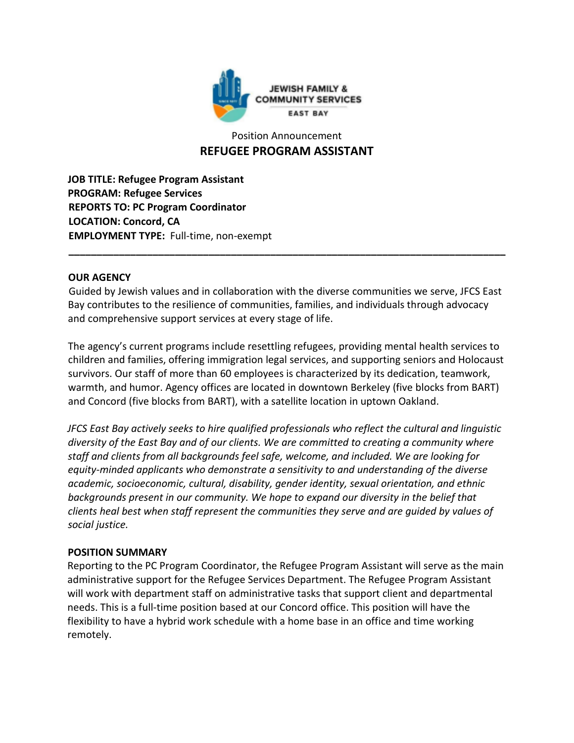

# Position Announcement **REFUGEE PROGRAM ASSISTANT**

**JOB TITLE: Refugee Program Assistant PROGRAM: Refugee Services REPORTS TO: PC Program Coordinator LOCATION: Concord, CA EMPLOYMENT TYPE:** Full-time, non-exempt

#### **OUR AGENCY**

Guided by Jewish values and in collaboration with the diverse communities we serve, JFCS East Bay contributes to the resilience of communities, families, and individuals through advocacy and comprehensive support services at every stage of life.

**\_\_\_\_\_\_\_\_\_\_\_\_\_\_\_\_\_\_\_\_\_\_\_\_\_\_\_\_\_\_\_\_\_\_\_\_\_\_\_\_\_\_\_\_\_\_\_\_\_\_\_\_\_\_\_\_\_\_\_\_\_\_\_\_\_\_\_\_\_\_\_\_\_\_\_\_\_\_**

The agency's current programs include resettling refugees, providing mental health services to children and families, offering immigration legal services, and supporting seniors and Holocaust survivors. Our staff of more than 60 employees is characterized by its dedication, teamwork, warmth, and humor. Agency offices are located in downtown Berkeley (five blocks from BART) and Concord (five blocks from BART), with a satellite location in uptown Oakland.

*JFCS East Bay actively seeks to hire qualified professionals who reflect the cultural and linguistic diversity of the East Bay and of our clients. We are committed to creating a community where staff and clients from all backgrounds feel safe, welcome, and included. We are looking for equity-minded applicants who demonstrate a sensitivity to and understanding of the diverse academic, socioeconomic, cultural, disability, gender identity, sexual orientation, and ethnic backgrounds present in our community. We hope to expand our diversity in the belief that clients heal best when staff represent the communities they serve and are guided by values of social justice.* 

#### **POSITION SUMMARY**

Reporting to the PC Program Coordinator, the Refugee Program Assistant will serve as the main administrative support for the Refugee Services Department. The Refugee Program Assistant will work with department staff on administrative tasks that support client and departmental needs. This is a full-time position based at our Concord office. This position will have the flexibility to have a hybrid work schedule with a home base in an office and time working remotely.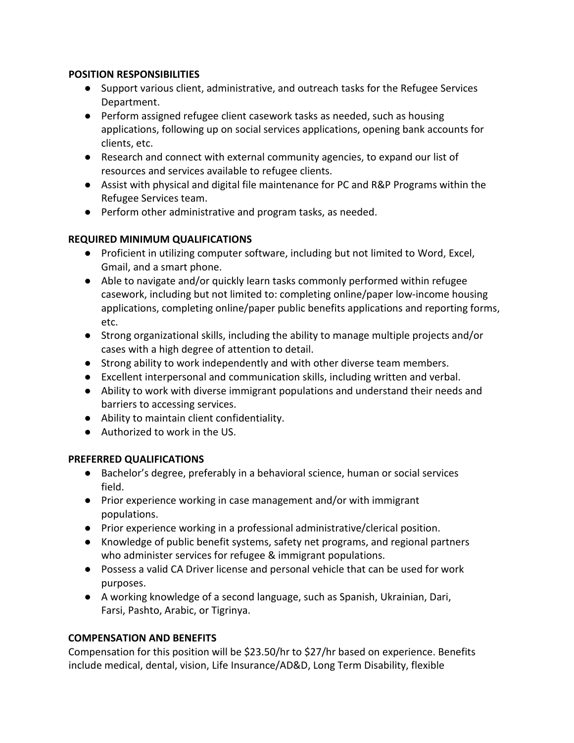#### **POSITION RESPONSIBILITIES**

- Support various client, administrative, and outreach tasks for the Refugee Services Department.
- Perform assigned refugee client casework tasks as needed, such as housing applications, following up on social services applications, opening bank accounts for clients, etc.
- Research and connect with external community agencies, to expand our list of resources and services available to refugee clients.
- Assist with physical and digital file maintenance for PC and R&P Programs within the Refugee Services team.
- Perform other administrative and program tasks, as needed.

# **REQUIRED MINIMUM QUALIFICATIONS**

- Proficient in utilizing computer software, including but not limited to Word, Excel, Gmail, and a smart phone.
- Able to navigate and/or quickly learn tasks commonly performed within refugee casework, including but not limited to: completing online/paper low-income housing applications, completing online/paper public benefits applications and reporting forms, etc.
- Strong organizational skills, including the ability to manage multiple projects and/or cases with a high degree of attention to detail.
- Strong ability to work independently and with other diverse team members.
- Excellent interpersonal and communication skills, including written and verbal.
- Ability to work with diverse immigrant populations and understand their needs and barriers to accessing services.
- Ability to maintain client confidentiality.
- Authorized to work in the US.

## **PREFERRED QUALIFICATIONS**

- Bachelor's degree, preferably in a behavioral science, human or social services field.
- Prior experience working in case management and/or with immigrant populations.
- Prior experience working in a professional administrative/clerical position.
- Knowledge of public benefit systems, safety net programs, and regional partners who administer services for refugee & immigrant populations.
- Possess a valid CA Driver license and personal vehicle that can be used for work purposes.
- A working knowledge of a second language, such as Spanish, Ukrainian, Dari, Farsi, Pashto, Arabic, or Tigrinya.

## **COMPENSATION AND BENEFITS**

Compensation for this position will be \$23.50/hr to \$27/hr based on experience. Benefits include medical, dental, vision, Life Insurance/AD&D, Long Term Disability, flexible